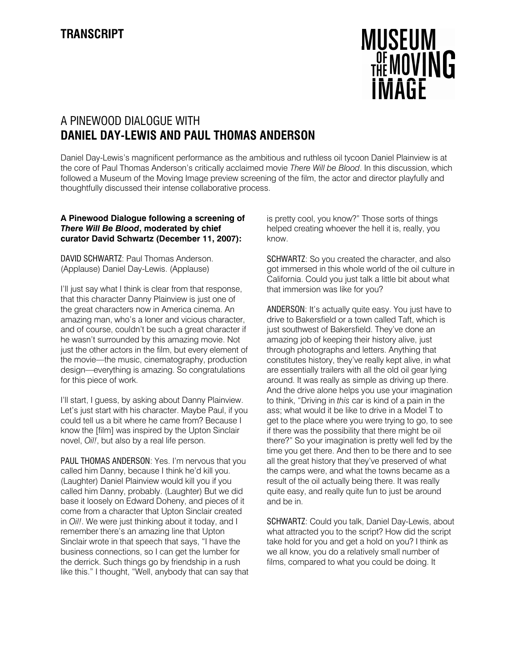## **MUSEUM** THE MOVING **IMAGE**

## A PINEWOOD DIALOGUE WITH **DANIEL DAY-LEWIS AND PAUL THOMAS ANDERSON**

Daniel Day-Lewis's magnificent performance as the ambitious and ruthless oil tycoon Daniel Plainview is at the core of Paul Thomas Anderson's critically acclaimed movie *There Will be Blood*. In this discussion, which followed a Museum of the Moving Image preview screening of the film, the actor and director playfully and thoughtfully discussed their intense collaborative process.

## **A Pinewood Dialogue following a screening of**  *There Will Be Blood***, moderated by chief curator David Schwartz (December 11, 2007):**

DAVID SCHWARTZ: Paul Thomas Anderson. (Applause) Daniel Day-Lewis. (Applause)

I'll just say what I think is clear from that response. that this character Danny Plainview is just one of the great characters now in America cinema. An amazing man, who's a loner and vicious character, and of course, couldn't be such a great character if he wasn't surrounded by this amazing movie. Not just the other actors in the film, but every element of the movie—the music, cinematography, production design—everything is amazing. So congratulations for this piece of work.

I'll start, I guess, by asking about Danny Plainview. Let's just start with his character. Maybe Paul, if you could tell us a bit where he came from? Because I know the [film] was inspired by the Upton Sinclair novel, *Oil!*, but also by a real life person.

PAUL THOMAS ANDERSON: Yes. I'm nervous that you called him Danny, because I think he'd kill you. (Laughter) Daniel Plainview would kill you if you called him Danny, probably. (Laughter) But we did base it loosely on Edward Doheny, and pieces of it come from a character that Upton Sinclair created in *Oil!*. We were just thinking about it today, and I remember there's an amazing line that Upton Sinclair wrote in that speech that says, "I have the business connections, so I can get the lumber for the derrick. Such things go by friendship in a rush like this." I thought, "Well, anybody that can say that is pretty cool, you know?" Those sorts of things helped creating whoever the hell it is, really, you know.

SCHWARTZ: So you created the character, and also got immersed in this whole world of the oil culture in California. Could you just talk a little bit about what that immersion was like for you?

ANDERSON: It's actually quite easy. You just have to drive to Bakersfield or a town called Taft, which is just southwest of Bakersfield. They've done an amazing job of keeping their history alive, just through photographs and letters. Anything that constitutes history, they've really kept alive, in what are essentially trailers with all the old oil gear lying around. It was really as simple as driving up there. And the drive alone helps you use your imagination to think, "Driving in *this* car is kind of a pain in the ass; what would it be like to drive in a Model T to get to the place where you were trying to go, to see if there was the possibility that there might be oil there?" So your imagination is pretty well fed by the time you get there. And then to be there and to see all the great history that they've preserved of what the camps were, and what the towns became as a result of the oil actually being there. It was really quite easy, and really quite fun to just be around and be in.

SCHWARTZ: Could you talk, Daniel Day-Lewis, about what attracted you to the script? How did the script take hold for you and get a hold on you? I think as we all know, you do a relatively small number of films, compared to what you could be doing. It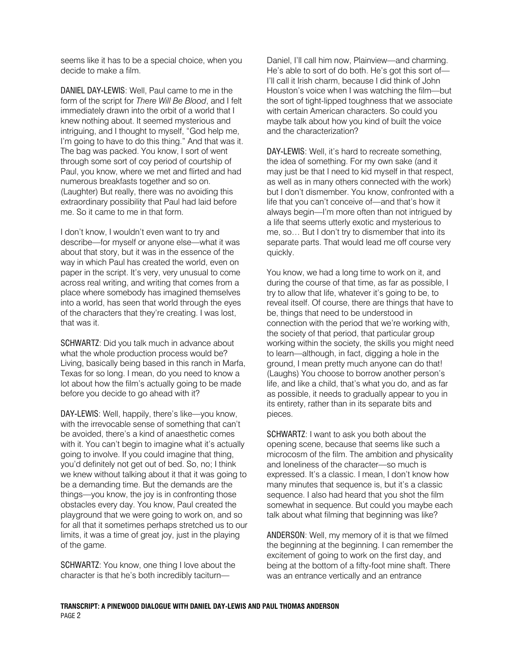seems like it has to be a special choice, when you decide to make a film.

DANIEL DAY-LEWIS: Well, Paul came to me in the form of the script for *There Will Be Blood*, and I felt immediately drawn into the orbit of a world that I knew nothing about. It seemed mysterious and intriguing, and I thought to myself, "God help me, I'm going to have to do this thing." And that was it. The bag was packed. You know, I sort of went through some sort of coy period of courtship of Paul, you know, where we met and flirted and had numerous breakfasts together and so on. (Laughter) But really, there was no avoiding this extraordinary possibility that Paul had laid before me. So it came to me in that form.

I don't know, I wouldn't even want to try and describe—for myself or anyone else—what it was about that story, but it was in the essence of the way in which Paul has created the world, even on paper in the script. It's very, very unusual to come across real writing, and writing that comes from a place where somebody has imagined themselves into a world, has seen that world through the eyes of the characters that they're creating. I was lost, that was it.

SCHWARTZ: Did you talk much in advance about what the whole production process would be? Living, basically being based in this ranch in Marfa, Texas for so long. I mean, do you need to know a lot about how the film's actually going to be made before you decide to go ahead with it?

DAY-LEWIS: Well, happily, there's like—you know, with the irrevocable sense of something that can't be avoided, there's a kind of anaesthetic comes with it. You can't begin to imagine what it's actually going to involve. If you could imagine that thing, you'd definitely not get out of bed. So, no; I think we knew without talking about it that it was going to be a demanding time. But the demands are the things—you know, the joy is in confronting those obstacles every day. You know, Paul created the playground that we were going to work on, and so for all that it sometimes perhaps stretched us to our limits, it was a time of great joy, just in the playing of the game.

SCHWARTZ: You know, one thing I love about the character is that he's both incredibly taciturnDaniel, I'll call him now, Plainview—and charming. He's able to sort of do both. He's got this sort of— I'll call it Irish charm, because I did think of John Houston's voice when I was watching the film—but the sort of tight-lipped toughness that we associate with certain American characters. So could you maybe talk about how you kind of built the voice and the characterization?

DAY-LEWIS: Well, it's hard to recreate something, the idea of something. For my own sake (and it may just be that I need to kid myself in that respect, as well as in many others connected with the work) but I don't dismember. You know, confronted with a life that you can't conceive of—and that's how it always begin—I'm more often than not intrigued by a life that seems utterly exotic and mysterious to me, so… But I don't try to dismember that into its separate parts. That would lead me off course very quickly.

You know, we had a long time to work on it, and during the course of that time, as far as possible, I try to allow that life, whatever it's going to be, to reveal itself. Of course, there are things that have to be, things that need to be understood in connection with the period that we're working with, the society of that period, that particular group working within the society, the skills you might need to learn—although, in fact, digging a hole in the ground, I mean pretty much anyone can do that! (Laughs) You choose to borrow another person's life, and like a child, that's what you do, and as far as possible, it needs to gradually appear to you in its entirety, rather than in its separate bits and pieces.

SCHWARTZ: I want to ask you both about the opening scene, because that seems like such a microcosm of the film. The ambition and physicality and loneliness of the character—so much is expressed. It's a classic. I mean, I don't know how many minutes that sequence is, but it's a classic sequence. I also had heard that you shot the film somewhat in sequence. But could you maybe each talk about what filming that beginning was like?

ANDERSON: Well, my memory of it is that we filmed the beginning at the beginning. I can remember the excitement of going to work on the first day, and being at the bottom of a fifty-foot mine shaft. There was an entrance vertically and an entrance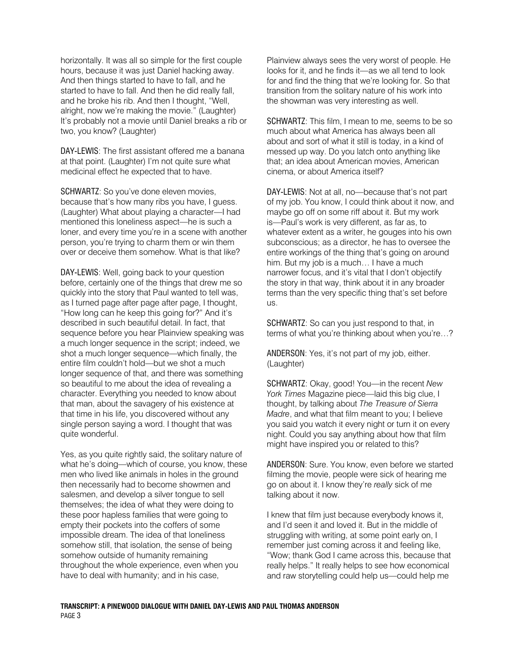horizontally. It was all so simple for the first couple hours, because it was just Daniel hacking away. And then things started to have to fall, and he started to have to fall. And then he did really fall, and he broke his rib. And then I thought, "Well, alright, now we're making the movie." (Laughter) It's probably not a movie until Daniel breaks a rib or two, you know? (Laughter)

DAY-LEWIS: The first assistant offered me a banana at that point. (Laughter) I'm not quite sure what medicinal effect he expected that to have.

SCHWARTZ: So you've done eleven movies, because that's how many ribs you have, I guess. (Laughter) What about playing a character—I had mentioned this loneliness aspect—he is such a loner, and every time you're in a scene with another person, you're trying to charm them or win them over or deceive them somehow. What is that like?

DAY-LEWIS: Well, going back to your question before, certainly one of the things that drew me so quickly into the story that Paul wanted to tell was, as I turned page after page after page, I thought, "How long can he keep this going for?" And it's described in such beautiful detail. In fact, that sequence before you hear Plainview speaking was a much longer sequence in the script; indeed, we shot a much longer sequence—which finally, the entire film couldn't hold—but we shot a much longer sequence of that, and there was something so beautiful to me about the idea of revealing a character. Everything you needed to know about that man, about the savagery of his existence at that time in his life, you discovered without any single person saying a word. I thought that was quite wonderful.

Yes, as you quite rightly said, the solitary nature of what he's doing—which of course, you know, these men who lived like animals in holes in the ground then necessarily had to become showmen and salesmen, and develop a silver tongue to sell themselves; the idea of what they were doing to these poor hapless families that were going to empty their pockets into the coffers of some impossible dream. The idea of that loneliness somehow still, that isolation, the sense of being somehow outside of humanity remaining throughout the whole experience, even when you have to deal with humanity; and in his case,

Plainview always sees the very worst of people. He looks for it, and he finds it—as we all tend to look for and find the thing that we're looking for. So that transition from the solitary nature of his work into the showman was very interesting as well.

SCHWARTZ: This film, I mean to me, seems to be so much about what America has always been all about and sort of what it still is today, in a kind of messed up way. Do you latch onto anything like that; an idea about American movies, American cinema, or about America itself?

DAY-LEWIS: Not at all, no—because that's not part of my job. You know, I could think about it now, and maybe go off on some riff about it. But my work is—Paul's work is very different, as far as, to whatever extent as a writer, he gouges into his own subconscious; as a director, he has to oversee the entire workings of the thing that's going on around him. But my job is a much… I have a much narrower focus, and it's vital that I don't objectify the story in that way, think about it in any broader terms than the very specific thing that's set before us.

SCHWARTZ: So can you just respond to that, in terms of what you're thinking about when you're…?

ANDERSON: Yes, it's not part of my job, either. (Laughter)

SCHWARTZ: Okay, good! You—in the recent *New York Times* Magazine piece—laid this big clue, I thought, by talking about *The Treasure of Sierra Madre*, and what that film meant to you; I believe you said you watch it every night or turn it on every night. Could you say anything about how that film might have inspired you or related to this?

ANDERSON: Sure. You know, even before we started filming the movie, people were sick of hearing me go on about it. I know they're *really* sick of me talking about it now.

I knew that film just because everybody knows it, and I'd seen it and loved it. But in the middle of struggling with writing, at some point early on, I remember just coming across it and feeling like, "Wow; thank God I came across this, because that really helps." It really helps to see how economical and raw storytelling could help us—could help me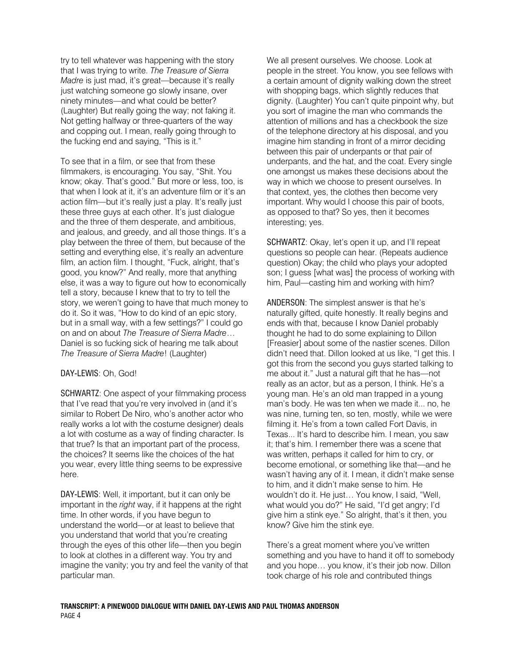try to tell whatever was happening with the story that I was trying to write. *The Treasure of Sierra Madre* is just mad, it's great—because it's really just watching someone go slowly insane, over ninety minutes—and what could be better? (Laughter) But really going the way; not faking it. Not getting halfway or three-quarters of the way and copping out. I mean, really going through to the fucking end and saying, "This is it."

To see that in a film, or see that from these filmmakers, is encouraging. You say, "Shit. You know; okay. That's good." But more or less, too, is that when I look at it, it's an adventure film or it's an action film—but it's really just a play. It's really just these three guys at each other. It's just dialogue and the three of them desperate, and ambitious, and jealous, and greedy, and all those things. It's a play between the three of them, but because of the setting and everything else, it's really an adventure film, an action film. I thought, "Fuck, alright, that's good, you know?" And really, more that anything else, it was a way to figure out how to economically tell a story, because I knew that to try to tell the story, we weren't going to have that much money to do it. So it was, "How to do kind of an epic story, but in a small way, with a few settings?" I could go on and on about *The Treasure of Sierra Madre*… Daniel is so fucking sick of hearing me talk about *The Treasure of Sierra Madre*! (Laughter)

## DAY-LEWIS: Oh, God!

SCHWARTZ: One aspect of your filmmaking process that I've read that you're very involved in (and it's similar to Robert De Niro, who's another actor who really works a lot with the costume designer) deals a lot with costume as a way of finding character. Is that true? Is that an important part of the process, the choices? It seems like the choices of the hat you wear, every little thing seems to be expressive here.

DAY-LEWIS: Well, it important, but it can only be important in the *right* way, if it happens at the right time. In other words, if you have begun to understand the world—or at least to believe that you understand that world that you're creating through the eyes of this other life—then you begin to look at clothes in a different way. You try and imagine the vanity; you try and feel the vanity of that particular man.

We all present ourselves. We choose. Look at people in the street. You know, you see fellows with a certain amount of dignity walking down the street with shopping bags, which slightly reduces that dignity. (Laughter) You can't quite pinpoint why, but you sort of imagine the man who commands the attention of millions and has a checkbook the size of the telephone directory at his disposal, and you imagine him standing in front of a mirror deciding between this pair of underpants or that pair of underpants, and the hat, and the coat. Every single one amongst us makes these decisions about the way in which we choose to present ourselves. In that context, yes, the clothes then become very important. Why would I choose this pair of boots, as opposed to that? So yes, then it becomes interesting; yes.

SCHWARTZ: Okay, let's open it up, and I'll repeat questions so people can hear. (Repeats audience question) Okay; the child who plays your adopted son; I guess [what was] the process of working with him, Paul—casting him and working with him?

ANDERSON: The simplest answer is that he's naturally gifted, quite honestly. It really begins and ends with that, because I know Daniel probably thought he had to do some explaining to Dillon [Freasier] about some of the nastier scenes. Dillon didn't need that. Dillon looked at us like, "I get this. I got this from the second you guys started talking to me about it." Just a natural gift that he has—not really as an actor, but as a person, I think. He's a young man. He's an old man trapped in a young man's body. He was ten when we made it... no, he was nine, turning ten, so ten, mostly, while we were filming it. He's from a town called Fort Davis, in Texas... It's hard to describe him. I mean, you saw it; that's him. I remember there was a scene that was written, perhaps it called for him to cry, or become emotional, or something like that—and he wasn't having any of it. I mean, it didn't make sense to him, and it didn't make sense to him. He wouldn't do it. He just… You know, I said, "Well, what would you do?" He said, "I'd get angry; I'd give him a stink eye." So alright, that's it then, you know? Give him the stink eye.

There's a great moment where you've written something and you have to hand it off to somebody and you hope… you know, it's their job now. Dillon took charge of his role and contributed things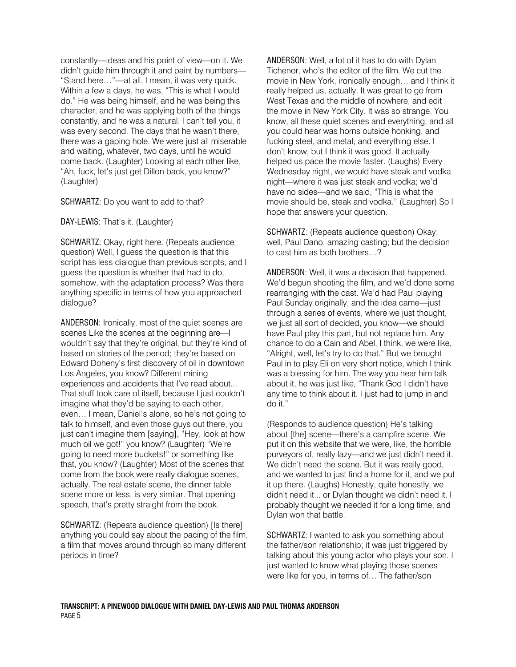constantly—ideas and his point of view—on it. We didn't guide him through it and paint by numbers— "Stand here…"—at all. I mean, it was very quick. Within a few a days, he was, "This is what I would do." He was being himself, and he was being this character, and he was applying both of the things constantly, and he was a natural. I can't tell you, it was every second. The days that he wasn't there, there was a gaping hole. We were just all miserable and waiting, whatever, two days, until he would come back. (Laughter) Looking at each other like, "Ah, fuck, let's just get Dillon back, you know?" (Laughter)

SCHWARTZ: Do you want to add to that?

DAY-LEWIS: That's it. (Laughter)

SCHWARTZ: Okay, right here. (Repeats audience question) Well, I guess the question is that this script has less dialogue than previous scripts, and I guess the question is whether that had to do, somehow, with the adaptation process? Was there anything specific in terms of how you approached dialogue?

ANDERSON: Ironically, most of the quiet scenes are scenes Like the scenes at the beginning are—I wouldn't say that they're original, but they're kind of based on stories of the period; they're based on Edward Doheny's first discovery of oil in downtown Los Angeles, you know? Different mining experiences and accidents that I've read about... That stuff took care of itself, because I just couldn't imagine what they'd be saying to each other, even… I mean, Daniel's alone, so he's not going to talk to himself, and even those guys out there, you just can't imagine them [saying], "Hey, look at how much oil we got!" you know? (Laughter) "We're going to need more buckets!" or something like that, you know? (Laughter) Most of the scenes that come from the book were really dialogue scenes, actually. The real estate scene, the dinner table scene more or less, is very similar. That opening speech, that's pretty straight from the book.

SCHWARTZ: (Repeats audience question) [Is there] anything you could say about the pacing of the film, a film that moves around through so many different periods in time?

ANDERSON: Well, a lot of it has to do with Dylan Tichenor, who's the editor of the film. We cut the movie in New York, ironically enough… and I think it really helped us, actually. It was great to go from West Texas and the middle of nowhere, and edit the movie in New York City. It was so strange. You know, all these quiet scenes and everything, and all you could hear was horns outside honking, and fucking steel, and metal, and everything else. I don't know, but I think it was good. It actually helped us pace the movie faster. (Laughs) Every Wednesday night, we would have steak and vodka night—where it was just steak and vodka; we'd have no sides—and we said, "This is what the movie should be, steak and vodka." (Laughter) So I hope that answers your question.

SCHWARTZ: (Repeats audience question) Okay; well, Paul Dano, amazing casting; but the decision to cast him as both brothers ?

ANDERSON: Well, it was a decision that happened. We'd begun shooting the film, and we'd done some rearranging with the cast. We'd had Paul playing Paul Sunday originally, and the idea came—just through a series of events, where we just thought, we just all sort of decided, you know—we should have Paul play this part, but not replace him. Any chance to do a Cain and Abel, I think, we were like, "Alright, well, let's try to do that." But we brought Paul in to play Eli on very short notice, which I think was a blessing for him. The way you hear him talk about it, he was just like, "Thank God I didn't have any time to think about it. I just had to jump in and do it."

(Responds to audience question) He's talking about [the] scene—there's a campfire scene. We put it on this website that we were, like, the horrible purveyors of, really lazy—and we just didn't need it. We didn't need the scene. But it was really good, and we wanted to just find a home for it, and we put it up there. (Laughs) Honestly, quite honestly, we didn't need it... or Dylan thought we didn't need it. I probably thought we needed it for a long time, and Dylan won that battle.

SCHWARTZ: I wanted to ask you something about the father/son relationship; it was just triggered by talking about this young actor who plays your son. I just wanted to know what playing those scenes were like for you, in terms of… The father/son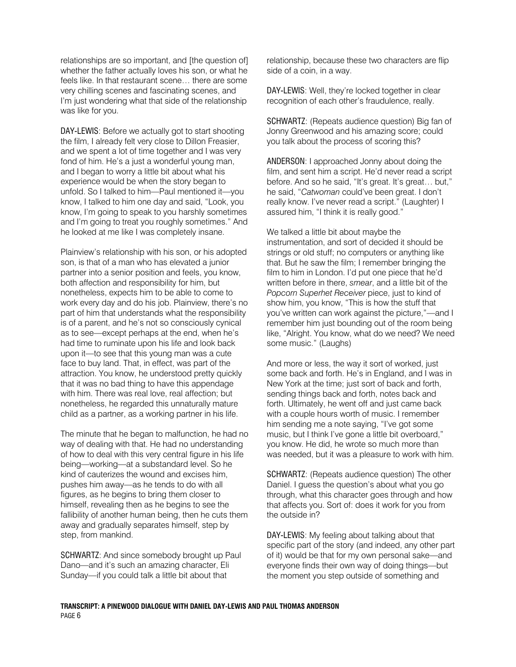relationships are so important, and [the question of] whether the father actually loves his son, or what he feels like. In that restaurant scene… there are some very chilling scenes and fascinating scenes, and I'm just wondering what that side of the relationship was like for you.

DAY-LEWIS: Before we actually got to start shooting the film, I already felt very close to Dillon Freasier, and we spent a lot of time together and I was very fond of him. He's a just a wonderful young man, and I began to worry a little bit about what his experience would be when the story began to unfold. So I talked to him—Paul mentioned it—you know, I talked to him one day and said, "Look, you know, I'm going to speak to you harshly sometimes and I'm going to treat you roughly sometimes." And he looked at me like I was completely insane.

Plainview's relationship with his son, or his adopted son, is that of a man who has elevated a junior partner into a senior position and feels, you know, both affection and responsibility for him, but nonetheless, expects him to be able to come to work every day and do his job. Plainview, there's no part of him that understands what the responsibility is of a parent, and he's not so consciously cynical as to see—except perhaps at the end, when he's had time to ruminate upon his life and look back upon it—to see that this young man was a cute face to buy land. That, in effect, was part of the attraction. You know, he understood pretty quickly that it was no bad thing to have this appendage with him. There was real love, real affection; but nonetheless, he regarded this unnaturally mature child as a partner, as a working partner in his life.

The minute that he began to malfunction, he had no way of dealing with that. He had no understanding of how to deal with this very central figure in his life being—working—at a substandard level. So he kind of cauterizes the wound and excises him, pushes him away—as he tends to do with all figures, as he begins to bring them closer to himself, revealing then as he begins to see the fallibility of another human being, then he cuts them away and gradually separates himself, step by step, from mankind.

SCHWARTZ: And since somebody brought up Paul Dano—and it's such an amazing character, Eli Sunday—if you could talk a little bit about that

relationship, because these two characters are flip side of a coin, in a way.

DAY-LEWIS: Well, they're locked together in clear recognition of each other's fraudulence, really.

SCHWARTZ: (Repeats audience question) Big fan of Jonny Greenwood and his amazing score; could you talk about the process of scoring this?

ANDERSON: I approached Jonny about doing the film, and sent him a script. He'd never read a script before. And so he said, "It's great. It's great… but," he said, "*Catwoman* could've been great. I don't really know. I've never read a script." (Laughter) I assured him, "I think it is really good."

We talked a little bit about maybe the instrumentation, and sort of decided it should be strings or old stuff; no computers or anything like that. But he saw the film; I remember bringing the film to him in London. I'd put one piece that he'd written before in there, *smear*, and a little bit of the *Popcorn Superhet Receiver* piece, just to kind of show him, you know, "This is how the stuff that you've written can work against the picture,"—and I remember him just bounding out of the room being like, "Alright. You know, what do we need? We need some music." (Laughs)

And more or less, the way it sort of worked, just some back and forth. He's in England, and I was in New York at the time; just sort of back and forth, sending things back and forth, notes back and forth. Ultimately, he went off and just came back with a couple hours worth of music. I remember him sending me a note saying, "I've got some music, but I think I've gone a little bit overboard," you know. He did, he wrote so much more than was needed, but it was a pleasure to work with him.

SCHWARTZ: (Repeats audience question) The other Daniel. I guess the question's about what you go through, what this character goes through and how that affects you. Sort of: does it work for you from the outside in?

DAY-LEWIS: My feeling about talking about that specific part of the story (and indeed, any other part of it) would be that for my own personal sake—and everyone finds their own way of doing things—but the moment you step outside of something and